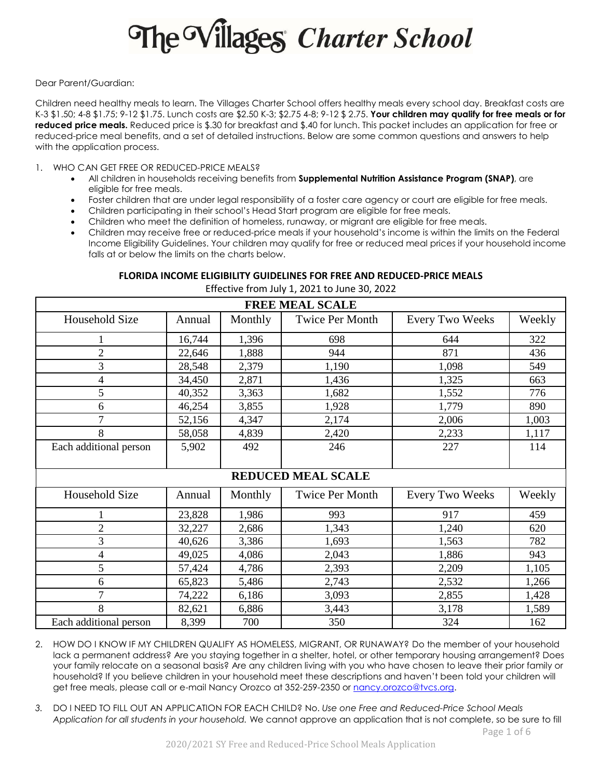# The Villages Charter School

Dear Parent/Guardian:

Children need healthy meals to learn. The Villages Charter School offers healthy meals every school day. Breakfast costs are K-3 \$1.50; 4-8 \$1.75; 9-12 \$1.75. Lunch costs are \$2.50 K-3; \$2.75 4-8; 9-12 \$ 2.75. **Your children may qualify for free meals or for reduced price meals.** Reduced price is \$.30 for breakfast and \$.40 for lunch. This packet includes an application for free or reduced-price meal benefits, and a set of detailed instructions. Below are some common questions and answers to help with the application process.

- 1. WHO CAN GET FREE OR REDUCED-PRICE MEALS?
	- All children in households receiving benefits from **Supplemental Nutrition Assistance Program (SNAP)**, are eligible for free meals.
	- Foster children that are under legal responsibility of a foster care agency or court are eligible for free meals.
	- Children participating in their school's Head Start program are eligible for free meals.
	- Children who meet the definition of homeless, runaway, or migrant are eligible for free meals.
	- Children may receive free or reduced-price meals if your household's income is within the limits on the Federal Income Eligibility Guidelines. Your children may qualify for free or reduced meal prices if your household income falls at or below the limits on the charts below.

## **FLORIDA INCOME ELIGIBILITY GUIDELINES FOR FREE AND REDUCED-PRICE MEALS**

Effective from July 1, 2021 to June 30, 2022

| <b>FREE MEAL SCALE</b>    |        |         |                        |                        |        |  |  |  |  |
|---------------------------|--------|---------|------------------------|------------------------|--------|--|--|--|--|
| Household Size            | Annual | Monthly | <b>Twice Per Month</b> | <b>Every Two Weeks</b> | Weekly |  |  |  |  |
|                           | 16,744 | 1,396   | 698                    | 644                    | 322    |  |  |  |  |
| $\overline{c}$            | 22,646 | 1,888   | 944                    | 871                    | 436    |  |  |  |  |
| 3                         | 28,548 | 2,379   | 1,190                  | 1,098                  | 549    |  |  |  |  |
| 4                         | 34,450 | 2,871   | 1,436                  | 1,325                  | 663    |  |  |  |  |
| 5                         | 40,352 | 3,363   | 1,682                  | 1,552                  | 776    |  |  |  |  |
| 6                         | 46,254 | 3,855   | 1,928                  | 1,779                  | 890    |  |  |  |  |
| 7                         | 52,156 | 4,347   | 2,174                  | 2,006                  | 1,003  |  |  |  |  |
| 8                         | 58,058 | 4,839   | 2,420                  | 2,233                  | 1,117  |  |  |  |  |
| Each additional person    | 5,902  | 492     | 246                    | 227                    | 114    |  |  |  |  |
|                           |        |         |                        |                        |        |  |  |  |  |
| <b>REDUCED MEAL SCALE</b> |        |         |                        |                        |        |  |  |  |  |
| Household Size            | Annual | Monthly | <b>Twice Per Month</b> | <b>Every Two Weeks</b> | Weekly |  |  |  |  |
|                           | 23,828 | 1,986   | 993                    | 917                    | 459    |  |  |  |  |
| $\overline{c}$            | 32,227 | 2,686   | 1,343                  | 1,240                  | 620    |  |  |  |  |
| 3                         | 40,626 | 3,386   | 1,693                  | 1,563                  | 782    |  |  |  |  |
| 4                         | 49,025 | 4,086   | 2,043                  | 1,886                  | 943    |  |  |  |  |
| 5                         | 57,424 | 4,786   | 2,393                  | 2,209                  | 1,105  |  |  |  |  |
| 6                         | 65,823 | 5,486   | 2,743                  | 2,532                  | 1,266  |  |  |  |  |
| 7                         | 74,222 | 6,186   | 3,093                  | 2,855                  | 1,428  |  |  |  |  |
| 8                         | 82,621 | 6,886   | 3,443                  | 3,178                  | 1,589  |  |  |  |  |
| Each additional person    | 8,399  | 700     | 350                    | 324                    | 162    |  |  |  |  |

- 2. HOW DO I KNOW IF MY CHILDREN QUALIFY AS HOMELESS, MIGRANT, OR RUNAWAY? Do the member of your household lack a permanent address? Are you staying together in a shelter, hotel, or other temporary housing arrangement? Does your family relocate on a seasonal basis? Are any children living with you who have chosen to leave their prior family or household? If you believe children in your household meet these descriptions and haven't been told your children will get free meals, please call or e-mail Nancy Orozco at 352-259-2350 or nancy.orozco@tvcs.org.
- *3.* DO I NEED TO FILL OUT AN APPLICATION FOR EACH CHILD? No. *Use one Free and Reduced-Price School Meals Application for all students in your household.* We cannot approve an application that is not complete, so be sure to fill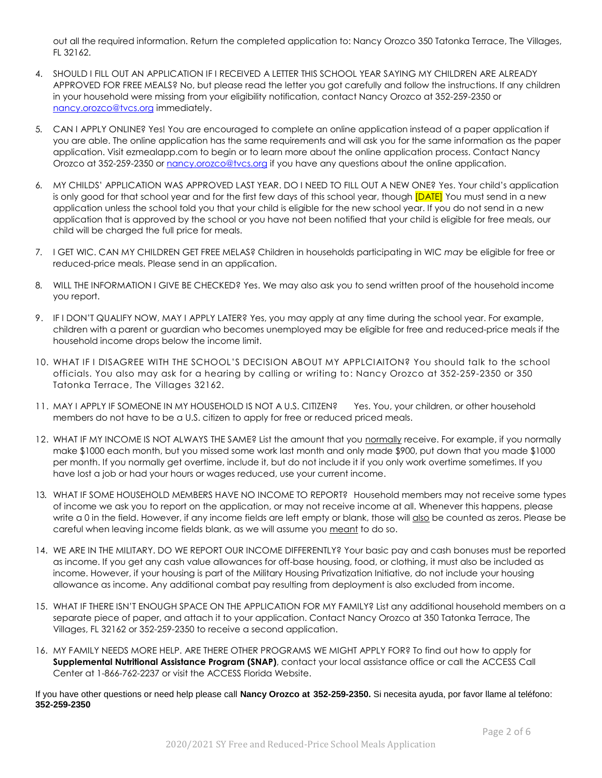out all the required information. Return the completed application to: Nancy Orozco 350 Tatonka Terrace, The Villages, FL 32162.

- 4. SHOULD I FILL OUT AN APPLICATION IF I RECEIVED A LETTER THIS SCHOOL YEAR SAYING MY CHILDREN ARE ALREADY APPROVED FOR FREE MEALS? No, but please read the letter you got carefully and follow the instructions. If any children in your household were missing from your eligibility notification, contact Nancy Orozco at 352-259-2350 or nancy.orozco@tvcs.org immediately.
- 5. CAN I APPLY ONLINE? Yes! You are encouraged to complete an online application instead of a paper application if you are able. The online application has the same requirements and will ask you for the same information as the paper application. Visit ezmealapp.com to begin or to learn more about the online application process. Contact Nancy Orozco at 352-259-2350 or nancy.orozco@tvcs.org if you have any questions about the online application.
- 6. MY CHILDS' APPLICATION WAS APPROVED LAST YEAR. DO I NEED TO FILL OUT A NEW ONE? Yes. Your child's application is only good for that school year and for the first few days of this school year, though **[DATE]** You must send in a new application unless the school told you that your child is eligible for the new school year. If you do not send in a new application that is approved by the school or you have not been notified that your child is eligible for free meals, our child will be charged the full price for meals.
- 7. I GET WIC. CAN MY CHILDREN GET FREE MELAS? Children in households participating in WIC *may* be eligible for free or reduced-price meals. Please send in an application.
- 8. WILL THE INFORMATION I GIVE BE CHECKED? Yes. We may also ask you to send written proof of the household income you report.
- 9. IF I DON'T QUALIFY NOW, MAY I APPLY LATER? Yes, you may apply at any time during the school year. For example, children with a parent or guardian who becomes unemployed may be eligible for free and reduced-price meals if the household income drops below the income limit.
- 10. WHAT IF I DISAGREE WITH THE SCHOOL'S DECISION ABOUT MY APPLCIAITON? You should talk to the school officials. You also may ask for a hearing by calling or writing to: Nancy Orozco at 352-259-2350 or 350 Tatonka Terrace, The Villages 32162.
- 11. MAY I APPLY IF SOMEONE IN MY HOUSEHOLD IS NOT A U.S. CITIZEN? Yes. You, your children, or other household members do not have to be a U.S. citizen to apply for free or reduced priced meals.
- 12. WHAT IF MY INCOME IS NOT ALWAYS THE SAME? List the amount that you normally receive. For example, if you normally make \$1000 each month, but you missed some work last month and only made \$900, put down that you made \$1000 per month. If you normally get overtime, include it, but do not include it if you only work overtime sometimes. If you have lost a job or had your hours or wages reduced, use your current income.
- 13. WHAT IF SOME HOUSEHOLD MEMBERS HAVE NO INCOME TO REPORT? Household members may not receive some types of income we ask you to report on the application, or may not receive income at all. Whenever this happens, please write a 0 in the field. However, if any income fields are left empty or blank, those will also be counted as zeros. Please be careful when leaving income fields blank, as we will assume you meant to do so.
- 14. WE ARE IN THE MILITARY. DO WE REPORT OUR INCOME DIFFERENTLY? Your basic pay and cash bonuses must be reported as income. If you get any cash value allowances for off-base housing, food, or clothing, it must also be included as income. However, if your housing is part of the Military Housing Privatization Initiative, do not include your housing allowance as income. Any additional combat pay resulting from deployment is also excluded from income.
- 15. WHAT IF THERE ISN'T ENOUGH SPACE ON THE APPLICATION FOR MY FAMILY? List any additional household members on a separate piece of paper, and attach it to your application. Contact Nancy Orozco at 350 Tatonka Terrace, The Villages, FL 32162 or 352-259-2350 to receive a second application.
- 16. MY FAMILY NEEDS MORE HELP. ARE THERE OTHER PROGRAMS WE MIGHT APPLY FOR? To find out how to apply for **Supplemental Nutritional Assistance Program (SNAP)**, contact your local assistance office or call the ACCESS Call Center at 1-866-762-2237 or visit the ACCESS Florida Website.

If you have other questions or need help please call **Nancy Orozco at 352-259-2350.** Si necesita ayuda, por favor llame al teléfono: **352-259-2350**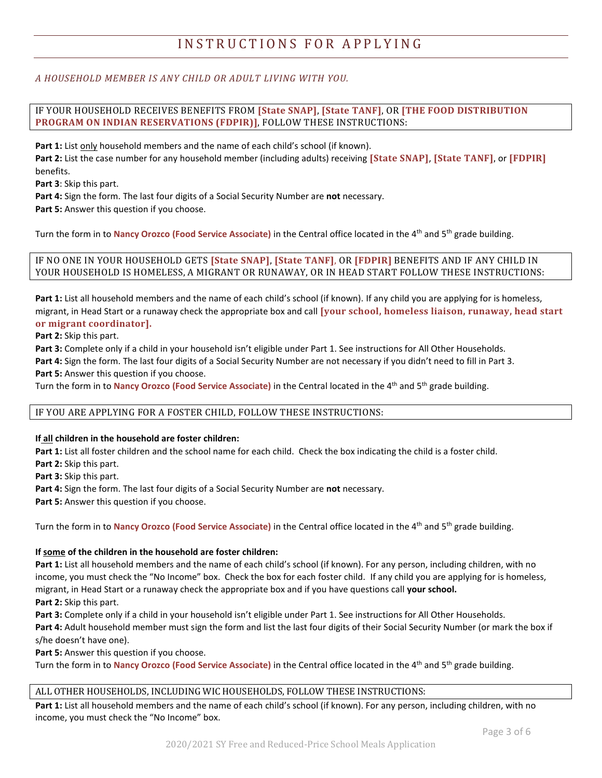# INSTRUCTIONS FOR APPLYING

## *A HOUSEHOLD MEMBER IS ANY CHILD OR ADULT LIVING WITH YOU.*

IF YOUR HOUSEHOLD RECEIVES BENEFITS FROM **[State SNAP]**, **[State TANF]**, OR **[THE FOOD DISTRIBUTION PROGRAM ON INDIAN RESERVATIONS (FDPIR)]**, FOLLOW THESE INSTRUCTIONS:

Part 1: List only household members and the name of each child's school (if known).

**Part 2:** List the case number for any household member (including adults) receiving **[State SNAP]**, **[State TANF]**, or **[FDPIR]** benefits.

**Part 3**: Skip this part.

**Part 4:** Sign the form. The last four digits of a Social Security Number are **not** necessary.

**Part 5:** Answer this question if you choose.

Turn the form in to **Nancy Orozco (Food Service Associate)** in the Central office located in the 4th and 5th grade building.

#### IF NO ONE IN YOUR HOUSEHOLD GETS **[State SNAP]**, **[State TANF]**, OR **[FDPIR]** BENEFITS AND IF ANY CHILD IN YOUR HOUSEHOLD IS HOMELESS, A MIGRANT OR RUNAWAY, OR IN HEAD START FOLLOW THESE INSTRUCTIONS:

**Part 1:** List all household members and the name of each child's school (if known). If any child you are applying for is homeless, migrant, in Head Start or a runaway check the appropriate box and call **[your school, homeless liaison, runaway, head start or migrant coordinator].** 

**Part 2:** Skip this part.

**Part 3:** Complete only if a child in your household isn't eligible under Part 1. See instructions for All Other Households. **Part 4:** Sign the form. The last four digits of a Social Security Number are not necessary if you didn't need to fill in Part 3. **Part 5:** Answer this question if you choose.

Turn the form in to **Nancy Orozco (Food Service Associate)** in the Central located in the 4th and 5th grade building.

#### IF YOU ARE APPLYING FOR A FOSTER CHILD, FOLLOW THESE INSTRUCTIONS:

#### **If all children in the household are foster children:**

**Part 1:** List all foster children and the school name for each child. Check the box indicating the child is a foster child.

**Part 2:** Skip this part.

**Part 3:** Skip this part.

**Part 4:** Sign the form. The last four digits of a Social Security Number are **not** necessary.

**Part 5:** Answer this question if you choose.

Turn the form in to **Nancy Orozco (Food Service Associate)** in the Central office located in the 4th and 5th grade building.

#### **If some of the children in the household are foster children:**

**Part 1:** List all household members and the name of each child's school (if known). For any person, including children, with no income, you must check the "No Income" box. Check the box for each foster child. If any child you are applying for is homeless, migrant, in Head Start or a runaway check the appropriate box and if you have questions call **your school. Part 2:** Skip this part.

**Part 3:** Complete only if a child in your household isn't eligible under Part 1. See instructions for All Other Households.

**Part 4:** Adult household member must sign the form and list the last four digits of their Social Security Number (or mark the box if s/he doesn't have one).

**Part 5:** Answer this question if you choose.

Turn the form in to **Nancy Orozco (Food Service Associate)** in the Central office located in the 4th and 5th grade building.

#### ALL OTHER HOUSEHOLDS, INCLUDING WIC HOUSEHOLDS, FOLLOW THESE INSTRUCTIONS:

**Part 1:** List all household members and the name of each child's school (if known). For any person, including children, with no income, you must check the "No Income" box.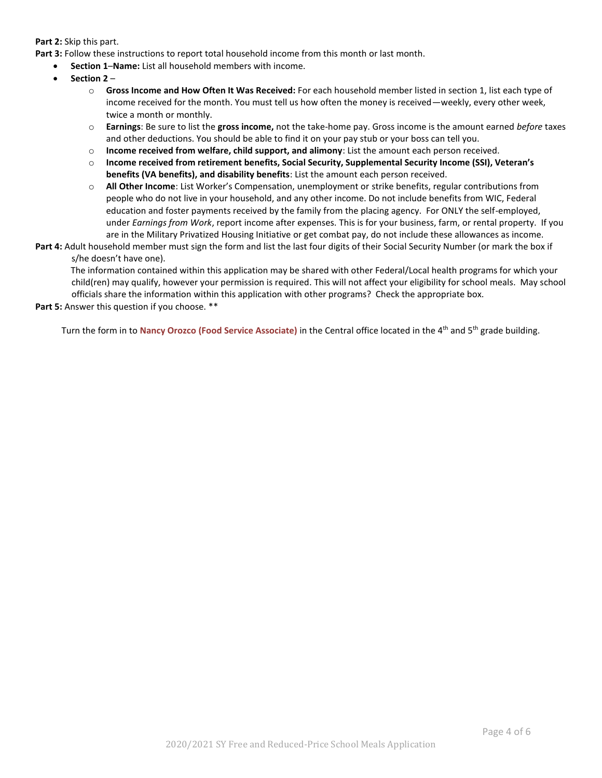#### **Part 2:** Skip this part.

Part 3: Follow these instructions to report total household income from this month or last month.

- **Section 1**–**Name:** List all household members with income.
- **Section 2** 
	- o **Gross Income and How Often It Was Received:** For each household member listed in section 1, list each type of income received for the month. You must tell us how often the money is received—weekly, every other week, twice a month or monthly.
	- o **Earnings**: Be sure to list the **gross income,** not the take-home pay. Gross income is the amount earned *before* taxes and other deductions. You should be able to find it on your pay stub or your boss can tell you.
	- o **Income received from welfare, child support, and alimony**: List the amount each person received.
	- o **Income received from retirement benefits, Social Security, Supplemental Security Income (SSI), Veteran's benefits (VA benefits), and disability benefits**: List the amount each person received.
	- o **All Other Income**: List Worker's Compensation, unemployment or strike benefits, regular contributions from people who do not live in your household, and any other income. Do not include benefits from WIC, Federal education and foster payments received by the family from the placing agency. For ONLY the self-employed, under *Earnings from Work*, report income after expenses. This is for your business, farm, or rental property. If you are in the Military Privatized Housing Initiative or get combat pay, do not include these allowances as income.
- **Part 4:** Adult household member must sign the form and list the last four digits of their Social Security Number (or mark the box if s/he doesn't have one).

The information contained within this application may be shared with other Federal/Local health programs for which your child(ren) may qualify, however your permission is required. This will not affect your eligibility for school meals. May school officials share the information within this application with other programs? Check the appropriate box.

**Part 5:** Answer this question if you choose. \*\*

Turn the form in to **Nancy Orozco (Food Service Associate)** in the Central office located in the 4th and 5th grade building.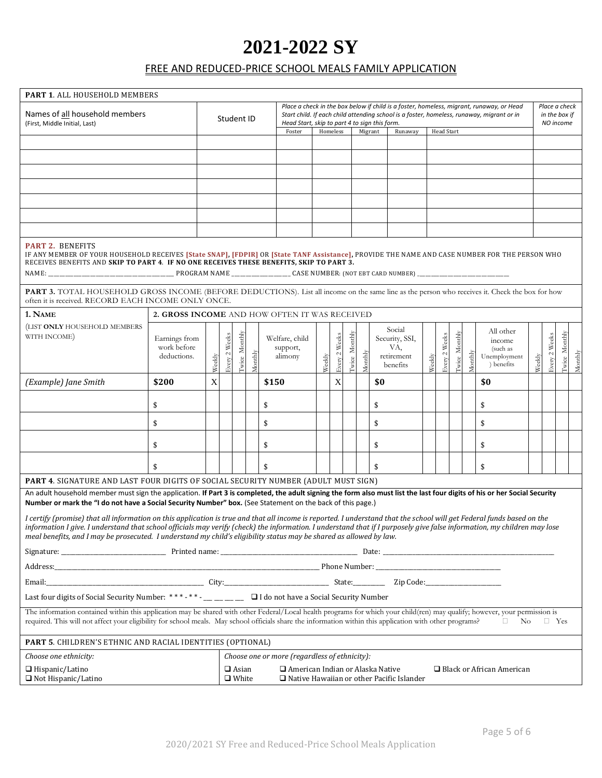# **2021-2022 SY**

# FREE AND REDUCED-PRICE SCHOOL MEALS FAMILY APPLICATION

| <b>PART 1. ALL HOUSEHOLD MEMBERS</b>                                                                                                                                                                                                                                                                                                                                                                                                                                      |                                               |             |                                                                                                                                                                 |               |         |                                       |                                                                                                                                                                                                                                        |          |               |                      |         |                                                           |  |                   |                                             |                |         |                                                               |        |               |               |         |
|---------------------------------------------------------------------------------------------------------------------------------------------------------------------------------------------------------------------------------------------------------------------------------------------------------------------------------------------------------------------------------------------------------------------------------------------------------------------------|-----------------------------------------------|-------------|-----------------------------------------------------------------------------------------------------------------------------------------------------------------|---------------|---------|---------------------------------------|----------------------------------------------------------------------------------------------------------------------------------------------------------------------------------------------------------------------------------------|----------|---------------|----------------------|---------|-----------------------------------------------------------|--|-------------------|---------------------------------------------|----------------|---------|---------------------------------------------------------------|--------|---------------|---------------|---------|
| Names of all household members<br>(First, Middle Initial, Last)                                                                                                                                                                                                                                                                                                                                                                                                           |                                               |             | Student ID                                                                                                                                                      |               |         |                                       | Place a check in the box below if child is a foster, homeless, migrant, runaway, or Head<br>Start child. If each child attending school is a foster, homeless, runaway, migrant or in<br>Head Start, skip to part 4 to sign this form. |          |               |                      |         |                                                           |  |                   | Place a check<br>in the box if<br>NO income |                |         |                                                               |        |               |               |         |
|                                                                                                                                                                                                                                                                                                                                                                                                                                                                           |                                               |             |                                                                                                                                                                 |               |         | Foster                                |                                                                                                                                                                                                                                        | Homeless |               | Migrant              |         | Runaway                                                   |  | <b>Head Start</b> |                                             |                |         |                                                               |        |               |               |         |
|                                                                                                                                                                                                                                                                                                                                                                                                                                                                           |                                               |             |                                                                                                                                                                 |               |         |                                       |                                                                                                                                                                                                                                        |          |               |                      |         |                                                           |  |                   |                                             |                |         |                                                               |        |               |               |         |
|                                                                                                                                                                                                                                                                                                                                                                                                                                                                           |                                               |             |                                                                                                                                                                 |               |         |                                       |                                                                                                                                                                                                                                        |          |               |                      |         |                                                           |  |                   |                                             |                |         |                                                               |        |               |               |         |
|                                                                                                                                                                                                                                                                                                                                                                                                                                                                           |                                               |             |                                                                                                                                                                 |               |         |                                       |                                                                                                                                                                                                                                        |          |               |                      |         |                                                           |  |                   |                                             |                |         |                                                               |        |               |               |         |
|                                                                                                                                                                                                                                                                                                                                                                                                                                                                           |                                               |             |                                                                                                                                                                 |               |         |                                       |                                                                                                                                                                                                                                        |          |               |                      |         |                                                           |  |                   |                                             |                |         |                                                               |        |               |               |         |
|                                                                                                                                                                                                                                                                                                                                                                                                                                                                           |                                               |             |                                                                                                                                                                 |               |         |                                       |                                                                                                                                                                                                                                        |          |               |                      |         |                                                           |  |                   |                                             |                |         |                                                               |        |               |               |         |
|                                                                                                                                                                                                                                                                                                                                                                                                                                                                           |                                               |             |                                                                                                                                                                 |               |         |                                       |                                                                                                                                                                                                                                        |          |               |                      |         |                                                           |  |                   |                                             |                |         |                                                               |        |               |               |         |
| <b>PART 2. BENEFITS</b><br>IF ANY MEMBER OF YOUR HOUSEHOLD RECEIVES [State SNAP], [FDPIR] OR [State TANF Assistance], PROVIDE THE NAME AND CASE NUMBER FOR THE PERSON WHO<br>RECEIVES BENEFITS AND SKIP TO PART 4. IF NO ONE RECEIVES THESE BENEFITS, SKIP TO PART 3.                                                                                                                                                                                                     |                                               |             |                                                                                                                                                                 |               |         |                                       |                                                                                                                                                                                                                                        |          |               |                      |         |                                                           |  |                   |                                             |                |         |                                                               |        |               |               |         |
| PART 3. TOTAL HOUSEHOLD GROSS INCOME (BEFORE DEDUCTIONS). List all income on the same line as the person who receives it. Check the box for how<br>often it is received. RECORD EACH INCOME ONLY ONCE.                                                                                                                                                                                                                                                                    |                                               |             |                                                                                                                                                                 |               |         |                                       |                                                                                                                                                                                                                                        |          |               |                      |         |                                                           |  |                   |                                             |                |         |                                                               |        |               |               |         |
| 1. NAME                                                                                                                                                                                                                                                                                                                                                                                                                                                                   | 2. GROSS INCOME AND HOW OFTEN IT WAS RECEIVED |             |                                                                                                                                                                 |               |         |                                       |                                                                                                                                                                                                                                        |          |               |                      |         |                                                           |  |                   |                                             |                |         |                                                               |        |               |               |         |
| (LIST ONLY HOUSEHOLD MEMBERS<br>WITH INCOME)                                                                                                                                                                                                                                                                                                                                                                                                                              | Earnings from<br>work before<br>deductions.   | Weekly      | Every 2 Weeks                                                                                                                                                   | Iwice Monthly | Monthly | Welfare, child<br>support,<br>alimony |                                                                                                                                                                                                                                        | Weekly   | Every 2 Weeks | <b>Twice Monthly</b> | Monthly | Social<br>Security, SSI,<br>VA,<br>retirement<br>benefits |  | Weekly            | <b>Every 2 Weeks</b>                        | I'wice Monthly | Monthly | All other<br>income<br>(such as<br>Unemployment<br>) benefits | Weekly | Every 2 Weeks | Iwice Monthly | Monthly |
| (Example) Jane Smith                                                                                                                                                                                                                                                                                                                                                                                                                                                      | \$200                                         | $\mathbf X$ |                                                                                                                                                                 |               |         | \$150                                 |                                                                                                                                                                                                                                        |          | $\mathbf X$   |                      |         | \$0                                                       |  |                   |                                             |                |         | \$0                                                           |        |               |               |         |
|                                                                                                                                                                                                                                                                                                                                                                                                                                                                           | \$                                            |             |                                                                                                                                                                 |               |         | \$                                    |                                                                                                                                                                                                                                        |          |               |                      |         | \$                                                        |  |                   |                                             |                |         | \$                                                            |        |               |               |         |
|                                                                                                                                                                                                                                                                                                                                                                                                                                                                           | \$                                            |             |                                                                                                                                                                 |               |         | \$                                    |                                                                                                                                                                                                                                        |          |               |                      |         | \$                                                        |  |                   |                                             |                |         | \$                                                            |        |               |               |         |
|                                                                                                                                                                                                                                                                                                                                                                                                                                                                           | \$                                            |             |                                                                                                                                                                 |               |         | \$                                    |                                                                                                                                                                                                                                        |          |               |                      |         | \$                                                        |  |                   |                                             |                |         | \$                                                            |        |               |               |         |
|                                                                                                                                                                                                                                                                                                                                                                                                                                                                           | \$                                            |             |                                                                                                                                                                 |               |         | \$                                    |                                                                                                                                                                                                                                        |          |               |                      |         | \$                                                        |  |                   |                                             |                |         | \$                                                            |        |               |               |         |
| <b>PART 4. SIGNATURE AND LAST FOUR DIGITS OF SOCIAL SECURITY NUMBER (ADULT MUST SIGN)</b>                                                                                                                                                                                                                                                                                                                                                                                 |                                               |             |                                                                                                                                                                 |               |         |                                       |                                                                                                                                                                                                                                        |          |               |                      |         |                                                           |  |                   |                                             |                |         |                                                               |        |               |               |         |
| An adult household member must sign the application. If Part 3 is completed, the adult signing the form also must list the last four digits of his or her Social Security<br>Number or mark the "I do not have a Social Security Number" box. (See Statement on the back of this page.)                                                                                                                                                                                   |                                               |             |                                                                                                                                                                 |               |         |                                       |                                                                                                                                                                                                                                        |          |               |                      |         |                                                           |  |                   |                                             |                |         |                                                               |        |               |               |         |
| I certify (promise) that all information on this application is true and that all income is reported. I understand that the school will get Federal funds based on the<br>information I give. I understand that school officials may verify (check) the information. I understand that if I purposely give false information, my children may lose<br>meal benefits, and I may be prosecuted. I understand my child's eligibility status may be shared as allowed by law. |                                               |             |                                                                                                                                                                 |               |         |                                       |                                                                                                                                                                                                                                        |          |               |                      |         |                                                           |  |                   |                                             |                |         |                                                               |        |               |               |         |
|                                                                                                                                                                                                                                                                                                                                                                                                                                                                           |                                               |             |                                                                                                                                                                 |               |         |                                       |                                                                                                                                                                                                                                        |          |               |                      |         |                                                           |  |                   |                                             |                |         |                                                               |        |               |               |         |
|                                                                                                                                                                                                                                                                                                                                                                                                                                                                           |                                               |             |                                                                                                                                                                 |               |         |                                       |                                                                                                                                                                                                                                        |          |               |                      |         |                                                           |  |                   |                                             |                |         |                                                               |        |               |               |         |
|                                                                                                                                                                                                                                                                                                                                                                                                                                                                           |                                               |             |                                                                                                                                                                 |               |         |                                       |                                                                                                                                                                                                                                        |          |               |                      |         |                                                           |  |                   |                                             |                |         |                                                               |        |               |               |         |
|                                                                                                                                                                                                                                                                                                                                                                                                                                                                           |                                               |             |                                                                                                                                                                 |               |         |                                       |                                                                                                                                                                                                                                        |          |               |                      |         |                                                           |  |                   |                                             |                |         |                                                               |        |               |               |         |
| The information contained within this application may be shared with other Federal/Local health programs for which your child(ren) may qualify; however, your permission is<br>required. This will not affect your eligibility for school meals. May school officials share the information within this application with other programs?<br>No<br>$\Box$<br>$\Box$ Yes                                                                                                    |                                               |             |                                                                                                                                                                 |               |         |                                       |                                                                                                                                                                                                                                        |          |               |                      |         |                                                           |  |                   |                                             |                |         |                                                               |        |               |               |         |
| <b>PART 5. CHILDREN'S ETHNIC AND RACIAL IDENTITIES (OPTIONAL)</b>                                                                                                                                                                                                                                                                                                                                                                                                         |                                               |             |                                                                                                                                                                 |               |         |                                       |                                                                                                                                                                                                                                        |          |               |                      |         |                                                           |  |                   |                                             |                |         |                                                               |        |               |               |         |
| Choose one or more (regardless of ethnicity):<br>Choose one ethnicity:                                                                                                                                                                                                                                                                                                                                                                                                    |                                               |             |                                                                                                                                                                 |               |         |                                       |                                                                                                                                                                                                                                        |          |               |                      |         |                                                           |  |                   |                                             |                |         |                                                               |        |               |               |         |
| $\Box$ Hispanic/Latino<br>□ Not Hispanic/Latino                                                                                                                                                                                                                                                                                                                                                                                                                           |                                               |             | $\Box$ American Indian or Alaska Native<br>$\Box$ Black or African American<br>$\Box$ Asian<br>$\Box$ White<br>$\Box$ Native Hawaiian or other Pacific Islander |               |         |                                       |                                                                                                                                                                                                                                        |          |               |                      |         |                                                           |  |                   |                                             |                |         |                                                               |        |               |               |         |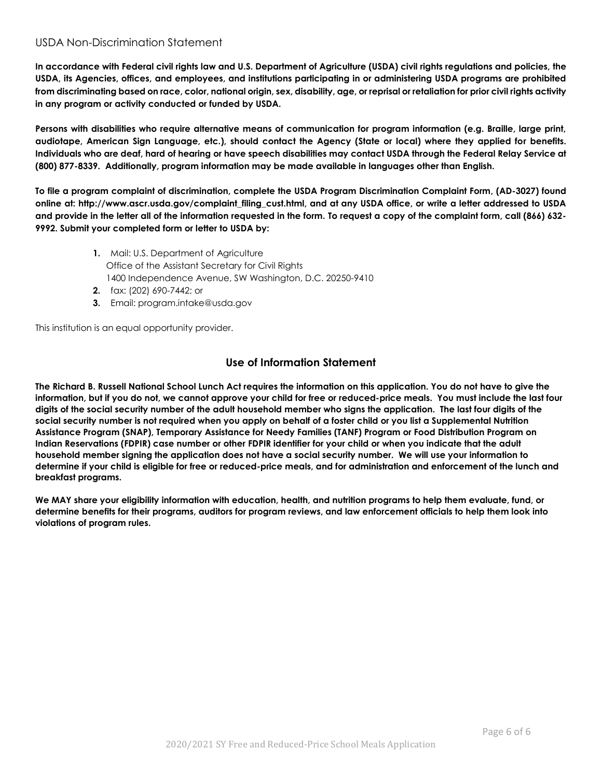## USDA Non-Discrimination Statement

**In accordance with Federal civil rights law and U.S. Department of Agriculture (USDA) civil rights regulations and policies, the USDA, its Agencies, offices, and employees, and institutions participating in or administering USDA programs are prohibited from discriminating based on race, color, national origin, sex, disability, age, or reprisal or retaliation for prior civil rights activity in any program or activity conducted or funded by USDA.** 

**Persons with disabilities who require alternative means of communication for program information (e.g. Braille, large print, audiotape, American Sign Language, etc.), should contact the Agency (State or local) where they applied for benefits. Individuals who are deaf, hard of hearing or have speech disabilities may contact USDA through the Federal Relay Service at (800) 877-8339. Additionally, program information may be made available in languages other than English.**

**To file a program complaint of discrimination, complete the USDA Program Discrimination Complaint Form, (AD-3027) found online at: http://www.ascr.usda.gov/complaint\_filing\_cust.html, and at any USDA office, or write a letter addressed to USDA and provide in the letter all of the information requested in the form. To request a copy of the complaint form, call (866) 632- 9992. Submit your completed form or letter to USDA by:** 

- **1.** Mail: U.S. Department of Agriculture Office of the Assistant Secretary for Civil Rights 1400 Independence Avenue, SW Washington, D.C. 20250-9410
- **2.** fax: (202) 690-7442; or
- **3.** Email: program.intake@usda.gov

This institution is an equal opportunity provider.

## **Use of Information Statement**

**The Richard B. Russell National School Lunch Act requires the information on this application. You do not have to give the information, but if you do not, we cannot approve your child for free or reduced-price meals. You must include the last four digits of the social security number of the adult household member who signs the application. The last four digits of the social security number is not required when you apply on behalf of a foster child or you list a Supplemental Nutrition Assistance Program (SNAP), Temporary Assistance for Needy Families (TANF) Program or Food Distribution Program on Indian Reservations (FDPIR) case number or other FDPIR identifier for your child or when you indicate that the adult household member signing the application does not have a social security number. We will use your information to determine if your child is eligible for free or reduced-price meals, and for administration and enforcement of the lunch and breakfast programs.**

**We MAY share your eligibility information with education, health, and nutrition programs to help them evaluate, fund, or determine benefits for their programs, auditors for program reviews, and law enforcement officials to help them look into violations of program rules.**